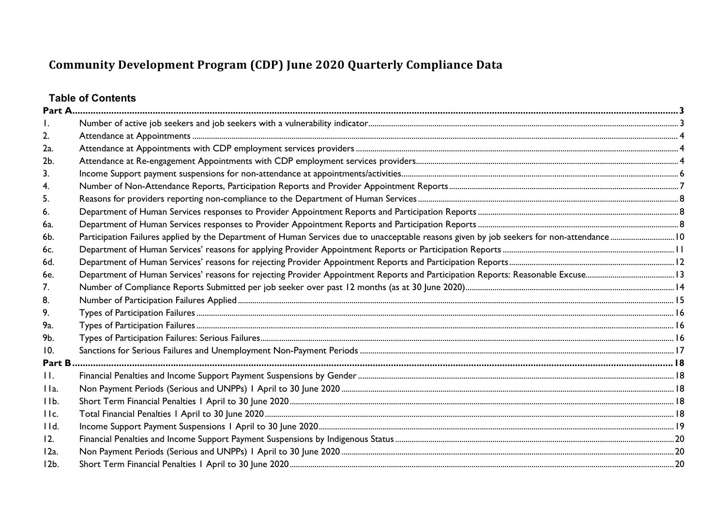## **Table of Contents**

| 2.      |  |
|---------|--|
| 2a.     |  |
| 2b.     |  |
| 3.      |  |
| 4.      |  |
| 5.      |  |
| 6.      |  |
| 6a.     |  |
| 6b.     |  |
| 6c.     |  |
| 6d.     |  |
| 6e.     |  |
| 7.      |  |
| 8.      |  |
| 9.      |  |
| 9a.     |  |
| 9b.     |  |
| 10.     |  |
| Part B  |  |
| H.      |  |
| IIa.    |  |
| IIb.    |  |
| IIc.    |  |
| I d.    |  |
| 12.     |  |
| $12a$ . |  |
| $12b$ . |  |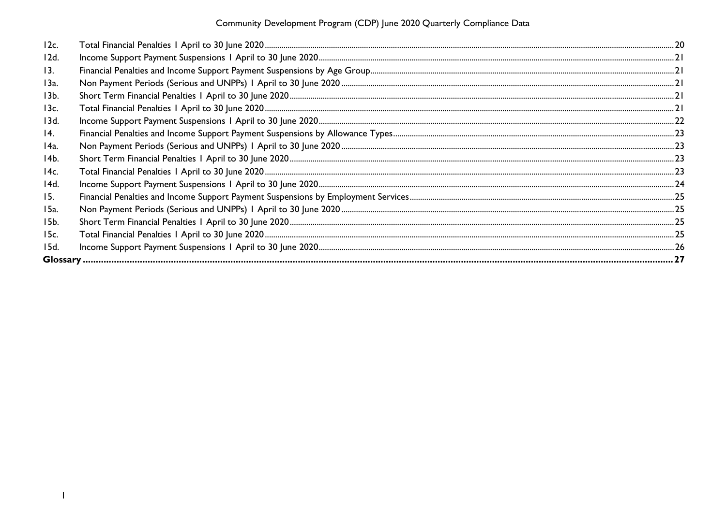Community Development Program (CDP) June 2020 Quarterly Compliance Data

| 12c.            |  |
|-----------------|--|
| 12d.            |  |
| 13.             |  |
| 13a.            |  |
| 13 <sub>b</sub> |  |
| 13c.            |  |
| 13d.            |  |
| 14.             |  |
| 14a.            |  |
| 14b.            |  |
| 14c.            |  |
| 14d.            |  |
| 15.             |  |
| 15a.            |  |
| 15b.            |  |
| 15c.            |  |
| 15d.            |  |
| <b>Glossary</b> |  |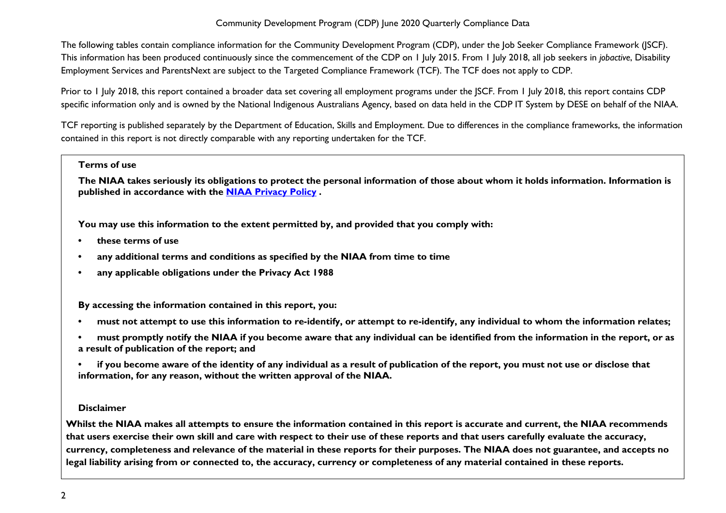The following tables contain compliance information for the Community Development Program (CDP), under the Job Seeker Compliance Framework (JSCF). This information has been produced continuously since the commencement of the CDP on 1 July 2015. From 1 July 2018, all job seekers in *jobactive*, Disability Employment Services and ParentsNext are subject to the Targeted Compliance Framework (TCF). The TCF does not apply to CDP.

Prior to 1 July 2018, this report contained a broader data set covering all employment programs under the JSCF. From 1 July 2018, this report contains CDP specific information only and is owned by the National Indigenous Australians Agency, based on data held in the CDP IT System by DESE on behalf of the NIAA.

TCF reporting is published separately by the Department of Education, Skills and Employment. Due to differences in the compliance frameworks, the information contained in this report is not directly comparable with any reporting undertaken for the TCF.

#### **Terms of use**

**The NIAA takes seriously its obligations to protect the personal information of those about whom it holds information. Information is published in accordance with the [NIAA Privacy Policy](https://www.niaa.gov.au/pmc/who-we-are/accountability-and-reporting/privacy-policy) .** 

**You may use this information to the extent permitted by, and provided that you comply with:**

- **• these terms of use**
- **• any additional terms and conditions as specified by the NIAA from time to time**
- **• any applicable obligations under the Privacy Act 1988**

**By accessing the information contained in this report, you:** 

- **• must not attempt to use this information to re-identify, or attempt to re-identify, any individual to whom the information relates;**
- **• must promptly notify the NIAA if you become aware that any individual can be identified from the information in the report, or as a result of publication of the report; and**
- **• if you become aware of the identity of any individual as a result of publication of the report, you must not use or disclose that information, for any reason, without the written approval of the NIAA.**

#### **Disclaimer**

**Whilst the NIAA makes all attempts to ensure the information contained in this report is accurate and current, the NIAA recommends that users exercise their own skill and care with respect to their use of these reports and that users carefully evaluate the accuracy, currency, completeness and relevance of the material in these reports for their purposes. The NIAA does not guarantee, and accepts no legal liability arising from or connected to, the accuracy, currency or completeness of any material contained in these reports.**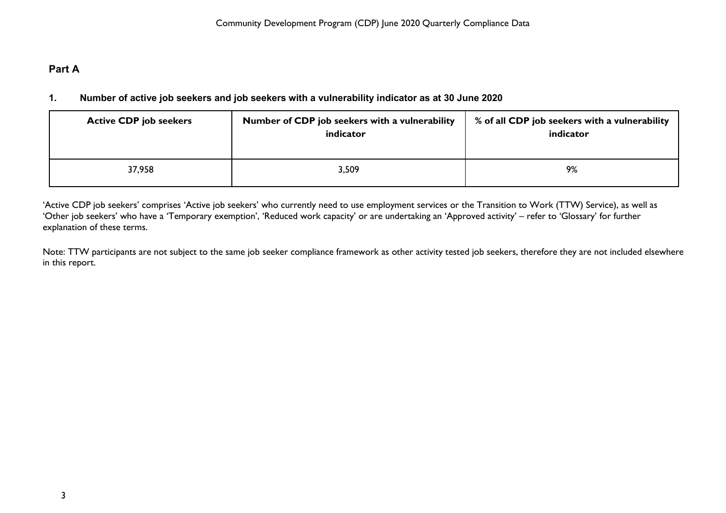## <span id="page-3-1"></span><span id="page-3-0"></span>**Part A**

## **1. Number of active job seekers and job seekers with a vulnerability indicator as at 30 June 2020**

| <b>Active CDP job seekers</b> | Number of CDP job seekers with a vulnerability<br>indicator | % of all CDP job seekers with a vulnerability<br>indicator |
|-------------------------------|-------------------------------------------------------------|------------------------------------------------------------|
| 37,958                        | 3,509                                                       | 9%                                                         |

'Active CDP job seekers' comprises 'Active job seekers' who currently need to use employment services or the Transition to Work (TTW) Service), as well as 'Other job seekers' who have a 'Temporary exemption', 'Reduced work capacity' or are undertaking an 'Approved activity' – refer to 'Glossary' for further explanation of these terms.

Note: TTW participants are not subject to the same job seeker compliance framework as other activity tested job seekers, therefore they are not included elsewhere in this report.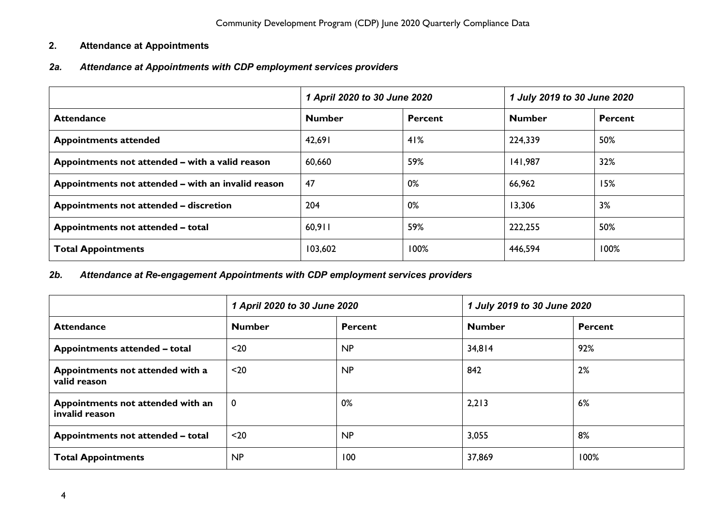## <span id="page-4-0"></span>**2. Attendance at Appointments**

## <span id="page-4-1"></span>*2a. Attendance at Appointments with CDP employment services providers*

|                                                    | 1 April 2020 to 30 June 2020 |                | 1 July 2019 to 30 June 2020 |                |
|----------------------------------------------------|------------------------------|----------------|-----------------------------|----------------|
| <b>Attendance</b>                                  | <b>Number</b>                | <b>Percent</b> | <b>Number</b>               | <b>Percent</b> |
| <b>Appointments attended</b>                       | 42,691                       | 41%            | 224,339                     | 50%            |
| Appointments not attended – with a valid reason    | 60,660                       | 59%            | 141,987                     | 32%            |
| Appointments not attended – with an invalid reason | 47                           | 0%             | 66,962                      | 15%            |
| Appointments not attended - discretion             | 204                          | 0%             | 13,306                      | 3%             |
| Appointments not attended - total                  | 60,911                       | 59%            | 222,255                     | 50%            |
| <b>Total Appointments</b>                          | 103,602                      | 100%           | 446,594                     | 100%           |

## <span id="page-4-2"></span>*2b. Attendance at Re-engagement Appointments with CDP employment services providers*

|                                                     | 1 April 2020 to 30 June 2020 |                | 1 July 2019 to 30 June 2020 |                |
|-----------------------------------------------------|------------------------------|----------------|-----------------------------|----------------|
| <b>Attendance</b>                                   | <b>Number</b>                | <b>Percent</b> | <b>Number</b>               | <b>Percent</b> |
| Appointments attended - total                       | $20$                         | <b>NP</b>      | 34,814                      | 92%            |
| Appointments not attended with a<br>valid reason    | $20$                         | NP             | 842                         | 2%             |
| Appointments not attended with an<br>invalid reason | $\mathbf 0$                  | 0%             | 2,213                       | 6%             |
| Appointments not attended - total                   | $20$                         | NP             | 3,055                       | 8%             |
| <b>Total Appointments</b>                           | NP                           | 100            | 37,869                      | 100%           |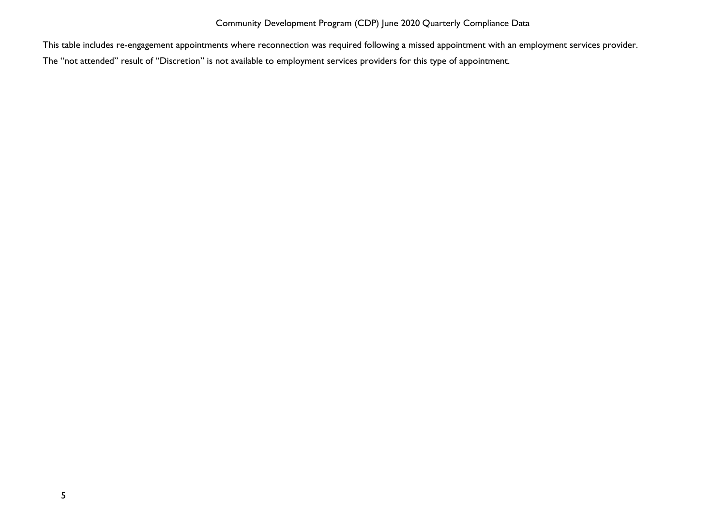This table includes re-engagement appointments where reconnection was required following a missed appointment with an employment services provider.

The "not attended" result of "Discretion" is not available to employment services providers for this type of appointment.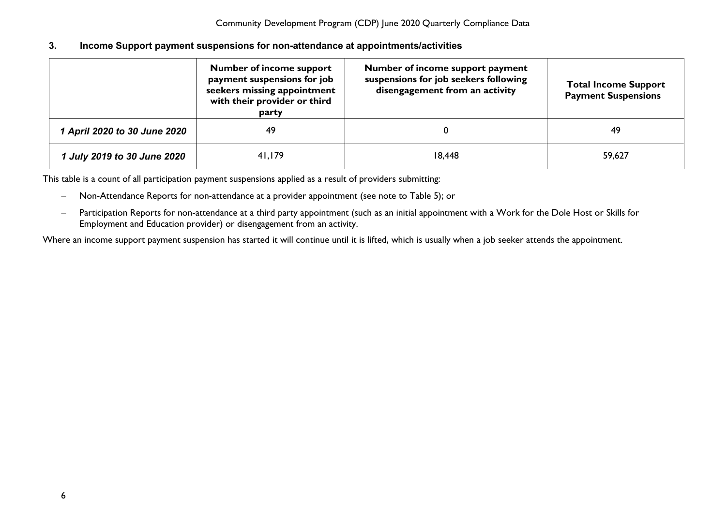#### <span id="page-6-0"></span>**3. Income Support payment suspensions for non-attendance at appointments/activities**

|                              | <b>Number of income support</b><br>payment suspensions for job<br>seekers missing appointment<br>with their provider or third<br>party | Number of income support payment<br>suspensions for job seekers following<br>disengagement from an activity | <b>Total Income Support</b><br><b>Payment Suspensions</b> |
|------------------------------|----------------------------------------------------------------------------------------------------------------------------------------|-------------------------------------------------------------------------------------------------------------|-----------------------------------------------------------|
| 1 April 2020 to 30 June 2020 | 49                                                                                                                                     |                                                                                                             | 49                                                        |
| 1 July 2019 to 30 June 2020  | 41,179                                                                                                                                 | 18,448                                                                                                      | 59,627                                                    |

This table is a count of all participation payment suspensions applied as a result of providers submitting:

- − Non-Attendance Reports for non-attendance at a provider appointment (see note to Table 5); or
- − Participation Reports for non-attendance at a third party appointment (such as an initial appointment with a Work for the Dole Host or Skills for Employment and Education provider) or disengagement from an activity.

Where an income support payment suspension has started it will continue until it is lifted, which is usually when a job seeker attends the appointment.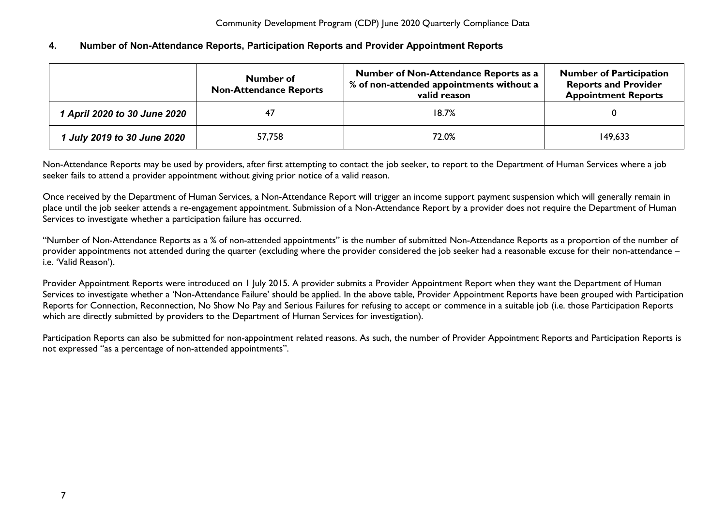## <span id="page-7-0"></span>**4. Number of Non-Attendance Reports, Participation Reports and Provider Appointment Reports**

|                              | Number of<br><b>Non-Attendance Reports</b> | Number of Non-Attendance Reports as a<br>% of non-attended appointments without a<br>valid reason | <b>Number of Participation</b><br><b>Reports and Provider</b><br><b>Appointment Reports</b> |
|------------------------------|--------------------------------------------|---------------------------------------------------------------------------------------------------|---------------------------------------------------------------------------------------------|
| 1 April 2020 to 30 June 2020 | 47                                         | 18.7%                                                                                             |                                                                                             |
| 1 July 2019 to 30 June 2020  | 57,758                                     | 72.0%                                                                                             | 149,633                                                                                     |

Non-Attendance Reports may be used by providers, after first attempting to contact the job seeker, to report to the Department of Human Services where a job seeker fails to attend a provider appointment without giving prior notice of a valid reason.

Once received by the Department of Human Services, a Non-Attendance Report will trigger an income support payment suspension which will generally remain in place until the job seeker attends a re-engagement appointment. Submission of a Non-Attendance Report by a provider does not require the Department of Human Services to investigate whether a participation failure has occurred.

"Number of Non-Attendance Reports as a % of non-attended appointments" is the number of submitted Non-Attendance Reports as a proportion of the number of provider appointments not attended during the quarter (excluding where the provider considered the job seeker had a reasonable excuse for their non-attendance – i.e. 'Valid Reason').

Provider Appointment Reports were introduced on 1 July 2015. A provider submits a Provider Appointment Report when they want the Department of Human Services to investigate whether a 'Non-Attendance Failure' should be applied. In the above table, Provider Appointment Reports have been grouped with Participation Reports for Connection, Reconnection, No Show No Pay and Serious Failures for refusing to accept or commence in a suitable job (i.e. those Participation Reports which are directly submitted by providers to the Department of Human Services for investigation).

Participation Reports can also be submitted for non-appointment related reasons. As such, the number of Provider Appointment Reports and Participation Reports is not expressed "as a percentage of non-attended appointments".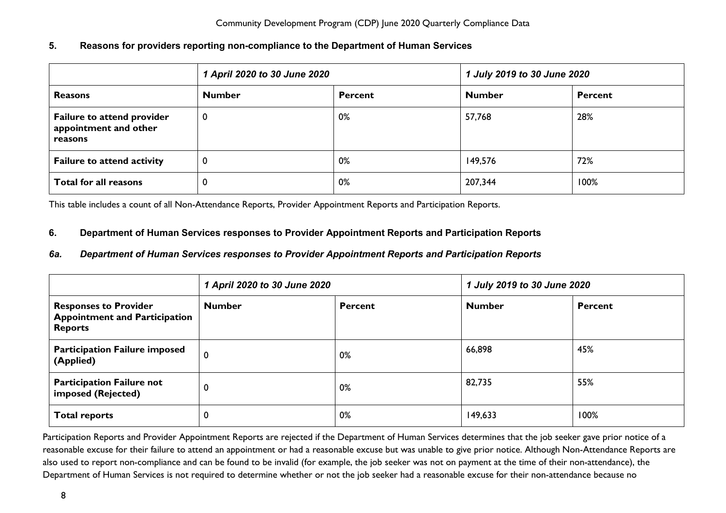## <span id="page-8-0"></span>**5. Reasons for providers reporting non-compliance to the Department of Human Services**

|                                                                       | 1 April 2020 to 30 June 2020 |                | 1 July 2019 to 30 June 2020 |         |
|-----------------------------------------------------------------------|------------------------------|----------------|-----------------------------|---------|
| <b>Reasons</b>                                                        | <b>Number</b>                | <b>Percent</b> | <b>Number</b>               | Percent |
| <b>Failure to attend provider</b><br>appointment and other<br>reasons | 0                            | 0%             | 57,768                      | 28%     |
| <b>Failure to attend activity</b>                                     | 0                            | 0%             | 149,576                     | 72%     |
| Total for all reasons                                                 | 0                            | 0%             | 207,344                     | 100%    |

This table includes a count of all Non-Attendance Reports, Provider Appointment Reports and Participation Reports.

## <span id="page-8-1"></span>**6. Department of Human Services responses to Provider Appointment Reports and Participation Reports**

## <span id="page-8-2"></span>*6a. Department of Human Services responses to Provider Appointment Reports and Participation Reports*

|                                                                                        | 1 April 2020 to 30 June 2020 |                | 1 July 2019 to 30 June 2020 |                |
|----------------------------------------------------------------------------------------|------------------------------|----------------|-----------------------------|----------------|
| <b>Responses to Provider</b><br><b>Appointment and Participation</b><br><b>Reports</b> | <b>Number</b>                | <b>Percent</b> | <b>Number</b>               | <b>Percent</b> |
| <b>Participation Failure imposed</b><br>(Applied)                                      | 0                            | 0%             | 66,898                      | 45%            |
| <b>Participation Failure not</b><br>imposed (Rejected)                                 | U                            | 0%             | 82,735                      | 55%            |
| <b>Total reports</b>                                                                   |                              | 0%             | 149,633                     | 100%           |

Participation Reports and Provider Appointment Reports are rejected if the Department of Human Services determines that the job seeker gave prior notice of a reasonable excuse for their failure to attend an appointment or had a reasonable excuse but was unable to give prior notice. Although Non-Attendance Reports are also used to report non-compliance and can be found to be invalid (for example, the job seeker was not on payment at the time of their non-attendance), the Department of Human Services is not required to determine whether or not the job seeker had a reasonable excuse for their non-attendance because no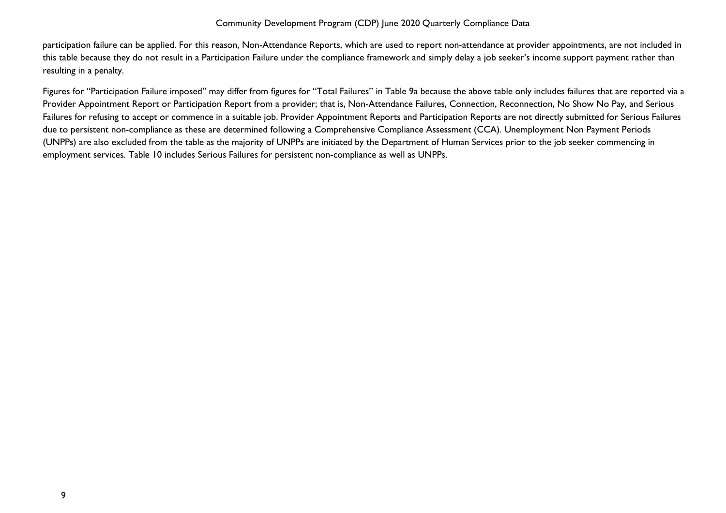participation failure can be applied. For this reason, Non-Attendance Reports, which are used to report non-attendance at provider appointments, are not included in this table because they do not result in a Participation Failure under the compliance framework and simply delay a job seeker's income support payment rather than resulting in a penalty.

Figures for "Participation Failure imposed" may differ from figures for "Total Failures" in Table 9a because the above table only includes failures that are reported via a Provider Appointment Report or Participation Report from a provider; that is, Non-Attendance Failures, Connection, Reconnection, No Show No Pay, and Serious Failures for refusing to accept or commence in a suitable job. Provider Appointment Reports and Participation Reports are not directly submitted for Serious Failures due to persistent non-compliance as these are determined following a Comprehensive Compliance Assessment (CCA). Unemployment Non Payment Periods (UNPPs) are also excluded from the table as the majority of UNPPs are initiated by the Department of Human Services prior to the job seeker commencing in employment services. Table 10 includes Serious Failures for persistent non-compliance as well as UNPPs.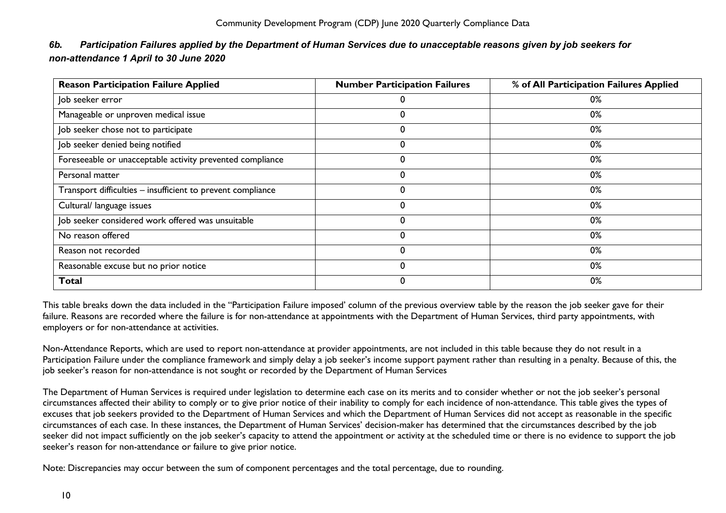| <b>Reason Participation Failure Applied</b>                 | <b>Number Participation Failures</b> | % of All Participation Failures Applied |
|-------------------------------------------------------------|--------------------------------------|-----------------------------------------|
| Job seeker error                                            |                                      | 0%                                      |
| Manageable or unproven medical issue                        | U                                    | 0%                                      |
| Job seeker chose not to participate                         | 0                                    | 0%                                      |
| Job seeker denied being notified                            | 0                                    | 0%                                      |
| Foreseeable or unacceptable activity prevented compliance   | 0                                    | 0%                                      |
| Personal matter                                             | 0                                    | 0%                                      |
| Transport difficulties – insufficient to prevent compliance |                                      | 0%                                      |
| Cultural/ language issues                                   |                                      | 0%                                      |
| Job seeker considered work offered was unsuitable           |                                      | 0%                                      |
| No reason offered                                           |                                      | 0%                                      |

# <span id="page-10-0"></span>*6b. Participation Failures applied by the Department of Human Services due to unacceptable reasons given by job seekers for*

This table breaks down the data included in the "Participation Failure imposed' column of the previous overview table by the reason the job seeker gave for their failure. Reasons are recorded where the failure is for non-attendance at appointments with the Department of Human Services, third party appointments, with employers or for non-attendance at activities.

Reason not recorded the control of the control of the control of the control of the control of the control of the control of the control of the control of the control of the control of the control of the control of the con Reasonable excuse but no prior notice  $\sim$  0 0% **Total** 0 0%

Non-Attendance Reports, which are used to report non-attendance at provider appointments, are not included in this table because they do not result in a Participation Failure under the compliance framework and simply delay a job seeker's income support payment rather than resulting in a penalty. Because of this, the job seeker's reason for non-attendance is not sought or recorded by the Department of Human Services

The Department of Human Services is required under legislation to determine each case on its merits and to consider whether or not the job seeker's personal circumstances affected their ability to comply or to give prior notice of their inability to comply for each incidence of non-attendance. This table gives the types of excuses that job seekers provided to the Department of Human Services and which the Department of Human Services did not accept as reasonable in the specific circumstances of each case. In these instances, the Department of Human Services' decision-maker has determined that the circumstances described by the job seeker did not impact sufficiently on the job seeker's capacity to attend the appointment or activity at the scheduled time or there is no evidence to support the job seeker's reason for non-attendance or failure to give prior notice.

Note: Discrepancies may occur between the sum of component percentages and the total percentage, due to rounding.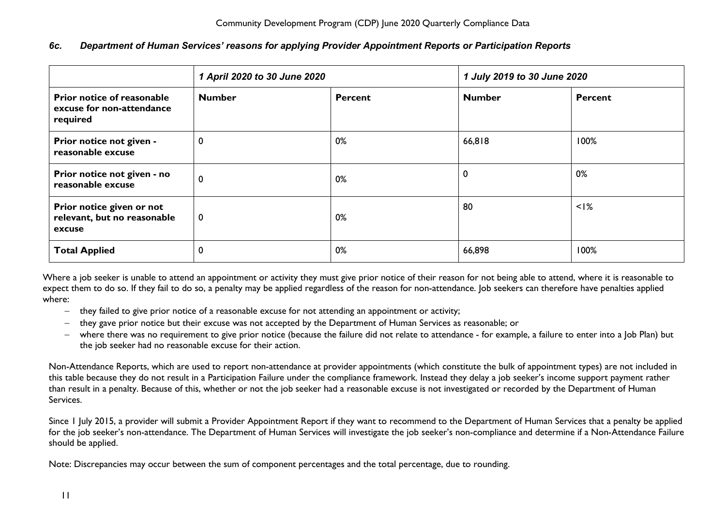## <span id="page-11-0"></span>*6c. Department of Human Services' reasons for applying Provider Appointment Reports or Participation Reports*

|                                                                     | 1 April 2020 to 30 June 2020 |                | 1 July 2019 to 30 June 2020 |         |
|---------------------------------------------------------------------|------------------------------|----------------|-----------------------------|---------|
| Prior notice of reasonable<br>excuse for non-attendance<br>required | <b>Number</b>                | <b>Percent</b> | <b>Number</b>               | Percent |
| Prior notice not given -<br>reasonable excuse                       | 0                            | 0%             | 66,818                      | 100%    |
| Prior notice not given - no<br>reasonable excuse                    | 0                            | 0%             | 0                           | 0%      |
| Prior notice given or not<br>relevant, but no reasonable<br>excuse  | $\mathbf 0$                  | 0%             | 80                          | $<$ I%  |
| <b>Total Applied</b>                                                | 0                            | 0%             | 66,898                      | 100%    |

Where a job seeker is unable to attend an appointment or activity they must give prior notice of their reason for not being able to attend, where it is reasonable to expect them to do so. If they fail to do so, a penalty may be applied regardless of the reason for non-attendance. Job seekers can therefore have penalties applied where:

- − they failed to give prior notice of a reasonable excuse for not attending an appointment or activity;
- − they gave prior notice but their excuse was not accepted by the Department of Human Services as reasonable; or
- − where there was no requirement to give prior notice (because the failure did not relate to attendance for example, a failure to enter into a Job Plan) but the job seeker had no reasonable excuse for their action.

Non-Attendance Reports, which are used to report non-attendance at provider appointments (which constitute the bulk of appointment types) are not included in this table because they do not result in a Participation Failure under the compliance framework. Instead they delay a job seeker's income support payment rather than result in a penalty. Because of this, whether or not the job seeker had a reasonable excuse is not investigated or recorded by the Department of Human Services.

Since 1 July 2015, a provider will submit a Provider Appointment Report if they want to recommend to the Department of Human Services that a penalty be applied for the job seeker's non-attendance. The Department of Human Services will investigate the job seeker's non-compliance and determine if a Non-Attendance Failure should be applied.

Note: Discrepancies may occur between the sum of component percentages and the total percentage, due to rounding.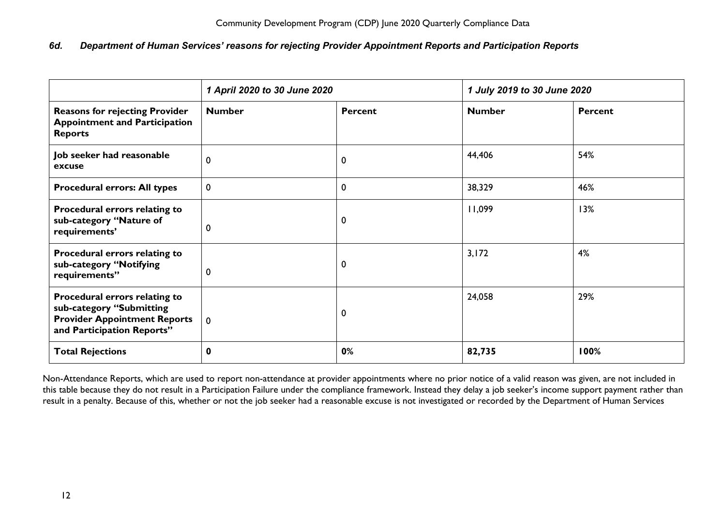## <span id="page-12-0"></span>*6d. Department of Human Services' reasons for rejecting Provider Appointment Reports and Participation Reports*

|                                                                                                                                | 1 April 2020 to 30 June 2020 |                | 1 July 2019 to 30 June 2020 |                |
|--------------------------------------------------------------------------------------------------------------------------------|------------------------------|----------------|-----------------------------|----------------|
| <b>Reasons for rejecting Provider</b><br><b>Appointment and Participation</b><br><b>Reports</b>                                | <b>Number</b>                | <b>Percent</b> | <b>Number</b>               | <b>Percent</b> |
| Job seeker had reasonable<br>excuse                                                                                            | 0                            | 0              | 44,406                      | 54%            |
| <b>Procedural errors: All types</b>                                                                                            | 0                            | 0              | 38,329                      | 46%            |
| Procedural errors relating to<br>sub-category "Nature of<br>requirements'                                                      | 0                            | $\mathbf 0$    | 11,099                      | 13%            |
| Procedural errors relating to<br>sub-category "Notifying<br>requirements"                                                      | 0                            | $\mathbf 0$    | 3,172                       | 4%             |
| Procedural errors relating to<br>sub-category "Submitting<br><b>Provider Appointment Reports</b><br>and Participation Reports" | $\mathbf 0$                  | 0              | 24,058                      | 29%            |
| <b>Total Rejections</b>                                                                                                        | 0                            | 0%             | 82,735                      | 100%           |

Non-Attendance Reports, which are used to report non-attendance at provider appointments where no prior notice of a valid reason was given, are not included in this table because they do not result in a Participation Failure under the compliance framework. Instead they delay a job seeker's income support payment rather than result in a penalty. Because of this, whether or not the job seeker had a reasonable excuse is not investigated or recorded by the Department of Human Services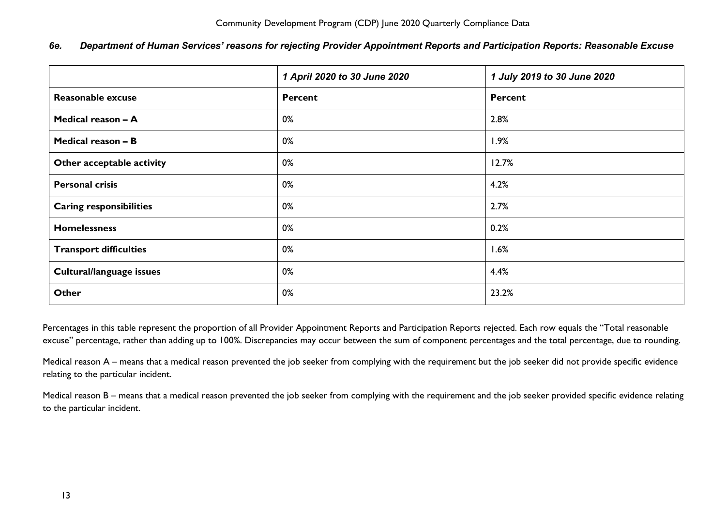|                                | 1 April 2020 to 30 June 2020 | 1 July 2019 to 30 June 2020 |  |
|--------------------------------|------------------------------|-----------------------------|--|
| <b>Reasonable excuse</b>       | <b>Percent</b>               | <b>Percent</b>              |  |
| Medical reason - A             | 0%                           | 2.8%                        |  |
| Medical reason - B             | 0%                           | 1.9%                        |  |
| Other acceptable activity      | 0%                           | 12.7%                       |  |
| <b>Personal crisis</b>         | 0%                           | 4.2%                        |  |
| <b>Caring responsibilities</b> | 0%                           | 2.7%                        |  |
| <b>Homelessness</b>            | 0%                           | 0.2%                        |  |
| <b>Transport difficulties</b>  | 0%                           | 1.6%                        |  |
| Cultural/language issues       | 0%                           | 4.4%                        |  |
| <b>Other</b>                   | 0%                           | 23.2%                       |  |

## <span id="page-13-0"></span>*6e. Department of Human Services' reasons for rejecting Provider Appointment Reports and Participation Reports: Reasonable Excuse*

Percentages in this table represent the proportion of all Provider Appointment Reports and Participation Reports rejected. Each row equals the "Total reasonable excuse" percentage, rather than adding up to 100%. Discrepancies may occur between the sum of component percentages and the total percentage, due to rounding.

Medical reason A – means that a medical reason prevented the job seeker from complying with the requirement but the job seeker did not provide specific evidence relating to the particular incident.

Medical reason B – means that a medical reason prevented the job seeker from complying with the requirement and the job seeker provided specific evidence relating to the particular incident.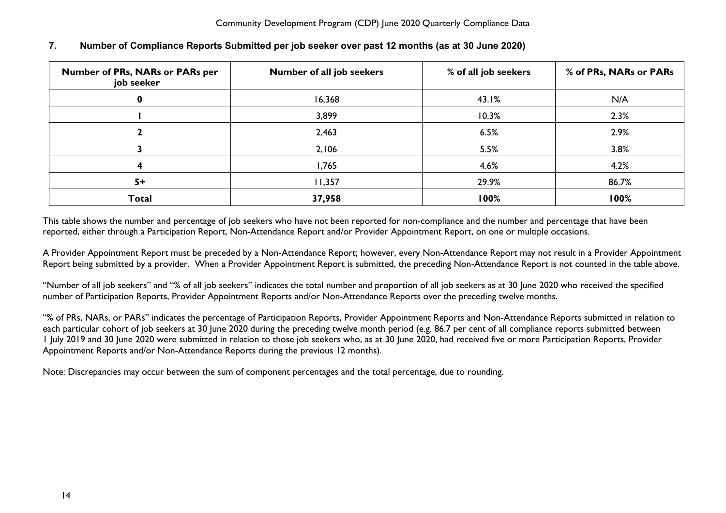| <b>Number of PRs, NARs or PARs per</b><br>job seeker | Number of all job seekers | % of all job seekers | % of PRs, NARs or PARs |
|------------------------------------------------------|---------------------------|----------------------|------------------------|
|                                                      | 16,368                    | 43.1%                | N/A                    |
|                                                      | 3,899                     | 10.3%                | 2.3%                   |
|                                                      | 2,463                     | 6.5%                 | 2.9%                   |
|                                                      | 2,106                     | 5.5%                 | 3.8%                   |
|                                                      | 1,765                     | 4.6%                 | 4.2%                   |
| $5+$                                                 | 11,357                    | 29.9%                | 86.7%                  |
| <b>Total</b>                                         | 37,958                    | 100%                 | 100%                   |

## <span id="page-14-0"></span>**7. Number of Compliance Reports Submitted per job seeker over past 12 months (as at 30 June 2020)**

This table shows the number and percentage of job seekers who have not been reported for non-compliance and the number and percentage that have been reported, either through a Participation Report, Non-Attendance Report and/or Provider Appointment Report, on one or multiple occasions.

A Provider Appointment Report must be preceded by a Non-Attendance Report; however, every Non-Attendance Report may not result in a Provider Appointment Report being submitted by a provider. When a Provider Appointment Report is submitted, the preceding Non-Attendance Report is not counted in the table above.

"Number of all job seekers" and "% of all job seekers" indicates the total number and proportion of all job seekers as at 30 June 2020 who received the specified number of Participation Reports, Provider Appointment Reports and/or Non-Attendance Reports over the preceding twelve months.

"% of PRs, NARs, or PARs" indicates the percentage of Participation Reports, Provider Appointment Reports and Non-Attendance Reports submitted in relation to each particular cohort of job seekers at 30 June 2020 during the preceding twelve month period (e.g. 86.7 per cent of all compliance reports submitted between 1 July 2019 and 30 June 2020 were submitted in relation to those job seekers who, as at 30 June 2020, had received five or more Participation Reports, Provider Appointment Reports and/or Non-Attendance Reports during the previous 12 months).

Note: Discrepancies may occur between the sum of component percentages and the total percentage, due to rounding.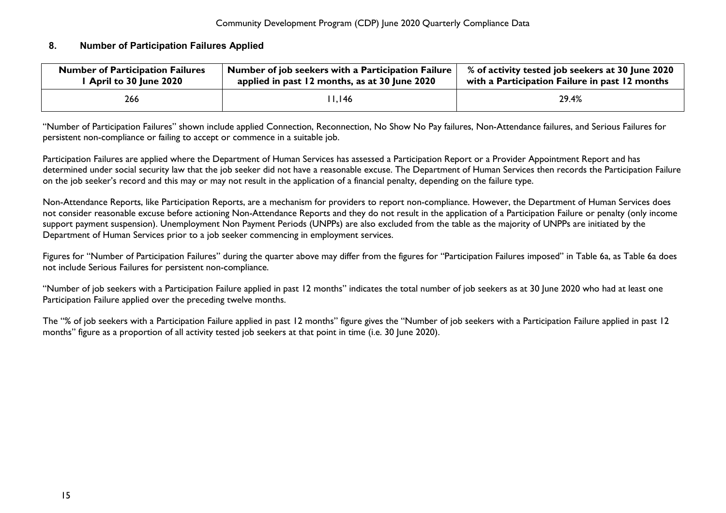## <span id="page-15-0"></span>**8. Number of Participation Failures Applied**

| <b>Number of Participation Failures</b> | Number of job seekers with a Participation Failure | % of activity tested job seekers at 30 June 2020 |
|-----------------------------------------|----------------------------------------------------|--------------------------------------------------|
| I April to 30 June 2020                 | applied in past 12 months, as at 30 June 2020      | with a Participation Failure in past 12 months   |
| 266                                     | l I.I46                                            | 29.4%                                            |

"Number of Participation Failures" shown include applied Connection, Reconnection, No Show No Pay failures, Non-Attendance failures, and Serious Failures for persistent non-compliance or failing to accept or commence in a suitable job.

Participation Failures are applied where the Department of Human Services has assessed a Participation Report or a Provider Appointment Report and has determined under social security law that the job seeker did not have a reasonable excuse. The Department of Human Services then records the Participation Failure on the job seeker's record and this may or may not result in the application of a financial penalty, depending on the failure type.

Non-Attendance Reports, like Participation Reports, are a mechanism for providers to report non-compliance. However, the Department of Human Services does not consider reasonable excuse before actioning Non-Attendance Reports and they do not result in the application of a Participation Failure or penalty (only income support payment suspension). Unemployment Non Payment Periods (UNPPs) are also excluded from the table as the majority of UNPPs are initiated by the Department of Human Services prior to a job seeker commencing in employment services.

Figures for "Number of Participation Failures" during the quarter above may differ from the figures for "Participation Failures imposed" in Table 6a, as Table 6a does not include Serious Failures for persistent non-compliance.

"Number of job seekers with a Participation Failure applied in past 12 months" indicates the total number of job seekers as at 30 June 2020 who had at least one Participation Failure applied over the preceding twelve months.

The "% of job seekers with a Participation Failure applied in past 12 months" figure gives the "Number of job seekers with a Participation Failure applied in past 12 months" figure as a proportion of all activity tested job seekers at that point in time (i.e. 30 June 2020).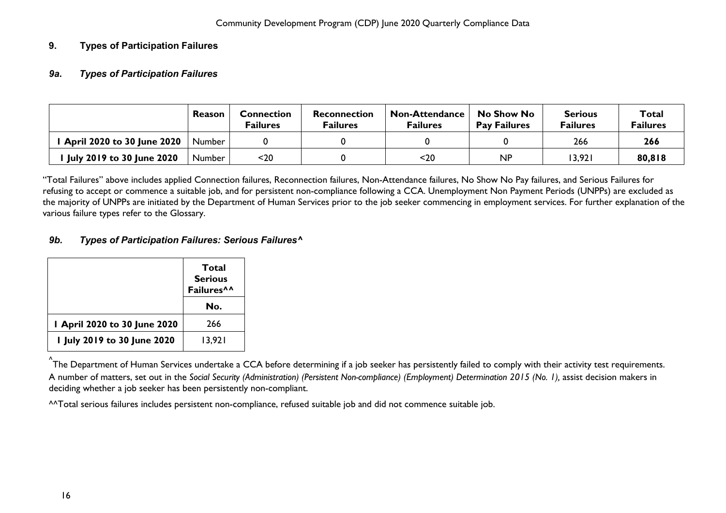## <span id="page-16-1"></span><span id="page-16-0"></span>**9. Types of Participation Failures**

## *9a***.** *Types of Participation Failures*

|                                   | Reason        | <b>Connection</b><br>Failures | Reconnection<br><b>Failures</b> | <b>Non-Attendance</b><br>Failures | No Show No<br><b>Pay Failures</b> | <b>Serious</b><br>Failures | Total<br><b>Failures</b> |
|-----------------------------------|---------------|-------------------------------|---------------------------------|-----------------------------------|-----------------------------------|----------------------------|--------------------------|
| <b>April 2020 to 30 June 2020</b> | Number        |                               |                                 |                                   |                                   | 266                        | 266                      |
| July 2019 to 30 June 2020         | <b>Number</b> | $20$                          |                                 | $20$                              | <b>NP</b>                         | 13,921                     | 80,818                   |

"Total Failures" above includes applied Connection failures, Reconnection failures, Non-Attendance failures, No Show No Pay failures, and Serious Failures for refusing to accept or commence a suitable job, and for persistent non-compliance following a CCA. Unemployment Non Payment Periods (UNPPs) are excluded as the majority of UNPPs are initiated by the Department of Human Services prior to the job seeker commencing in employment services. For further explanation of the various failure types refer to the Glossary.

## <span id="page-16-2"></span>*9b. Types of Participation Failures: Serious Failures^*

|                             | Total<br><b>Serious</b><br>Failures^^<br>No. |
|-----------------------------|----------------------------------------------|
| April 2020 to 30 June 2020  | 266                                          |
| 1 July 2019 to 30 June 2020 | 13,921                                       |

<sub>^</sub><br>^The Department of Human Services undertake a CCA before determining if a job seeker has persistently failed to comply with their activity test requirements. A number of matters, set out in the *Social Security (Administration) (Persistent Non-compliance) (Employment) Determination 2015 (No. 1),* assist decision makers in deciding whether a job seeker has been persistently non-compliant.

^^Total serious failures includes persistent non-compliance, refused suitable job and did not commence suitable job.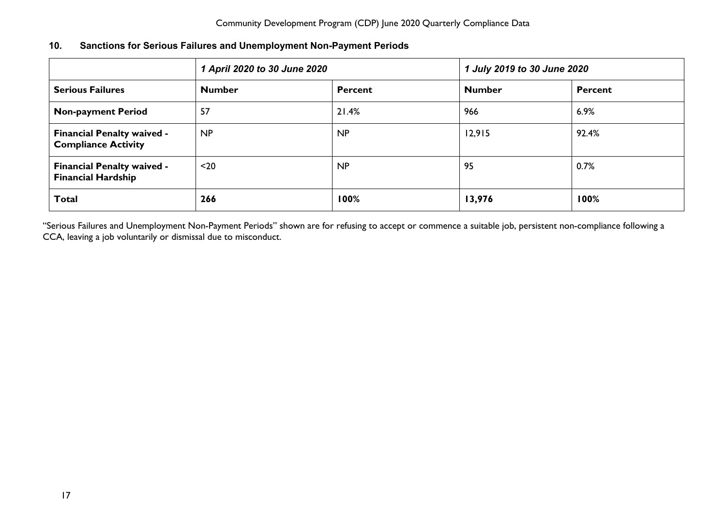<span id="page-17-0"></span>

| <b>Sanctions for Serious Failures and Unemployment Non-Payment Periods</b><br>10. |  |
|-----------------------------------------------------------------------------------|--|
|-----------------------------------------------------------------------------------|--|

|                                                                 | 1 April 2020 to 30 June 2020 |                | 1 July 2019 to 30 June 2020 |                |
|-----------------------------------------------------------------|------------------------------|----------------|-----------------------------|----------------|
| <b>Serious Failures</b>                                         | <b>Number</b>                | <b>Percent</b> | <b>Number</b>               | <b>Percent</b> |
| <b>Non-payment Period</b>                                       | 57                           | 21.4%          | 966                         | 6.9%           |
| <b>Financial Penalty waived -</b><br><b>Compliance Activity</b> | NP                           | <b>NP</b>      | 12,915                      | 92.4%          |
| <b>Financial Penalty waived -</b><br><b>Financial Hardship</b>  | $20$                         | NP             | 95                          | 0.7%           |
| <b>Total</b>                                                    | 266                          | 100%           | 13,976                      | 100%           |

"Serious Failures and Unemployment Non-Payment Periods" shown are for refusing to accept or commence a suitable job, persistent non-compliance following a CCA, leaving a job voluntarily or dismissal due to misconduct.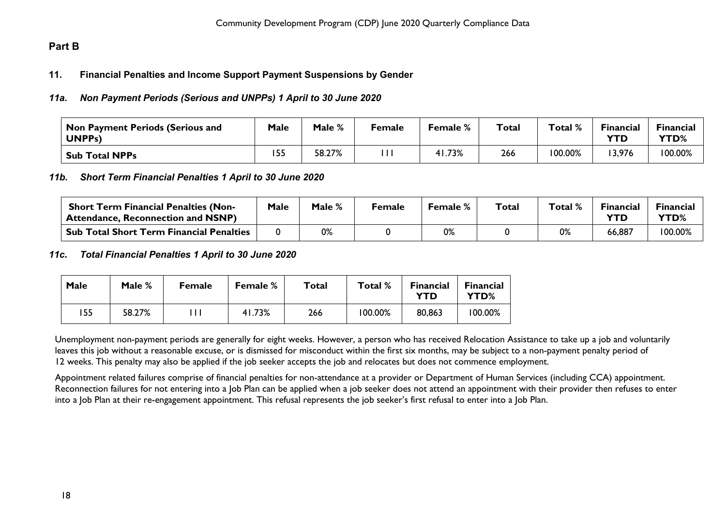## <span id="page-18-1"></span><span id="page-18-0"></span>**Part B**

## **11. Financial Penalties and Income Support Payment Suspensions by Gender**

## <span id="page-18-2"></span>*11a. Non Payment Periods (Serious and UNPPs) 1 April to 30 June 2020*

| $^\mathsf{!}$ Non Payment Periods (Serious and<br>UNPP <sub>s</sub> ) | <b>Male</b> | Male % | Female | <b>Female</b> % | <b>Total</b> | Total % | <b>Financial</b><br><b>YTD</b> | <b>Financial</b><br><b>YTD%</b> |
|-----------------------------------------------------------------------|-------------|--------|--------|-----------------|--------------|---------|--------------------------------|---------------------------------|
| <b>Sub Total NPPs</b>                                                 | 155         | 58.27% |        | 41.73%          | 266          | 100.00% | 3,976                          | 100.00%                         |

#### <span id="page-18-3"></span>*11b. Short Term Financial Penalties 1 April to 30 June 2020*

| <b>Short Term Financial Penalties (Non-</b><br><sup>1</sup> Attendance, Reconnection and NSNP) | Male | Male % | Female | <b>Female</b> % | Total | Total % | $E$ inancial | <b>Financial</b><br>YTD% |
|------------------------------------------------------------------------------------------------|------|--------|--------|-----------------|-------|---------|--------------|--------------------------|
| <b>Sub Total Short Term Financial Penalties</b>                                                |      | 0%     |        | 0%              |       | 0%      | 66,887       | 100.00%                  |

#### <span id="page-18-4"></span>*11c***.** *Total Financial Penalties 1 April to 30 June 2020*

| Male | Male % | <b>Female</b> | <b>Female</b> % | Total | Total % | <b>Financial</b><br>YTD | <b>Financial</b><br>YTD% |
|------|--------|---------------|-----------------|-------|---------|-------------------------|--------------------------|
| 155  | 58.27% |               | 41.73%          | 266   | 100.00% | 80,863                  | 100.00%                  |

Unemployment non-payment periods are generally for eight weeks. However, a person who has received Relocation Assistance to take up a job and voluntarily leaves this job without a reasonable excuse, or is dismissed for misconduct within the first six months, may be subject to a non-payment penalty period of 12 weeks. This penalty may also be applied if the job seeker accepts the job and relocates but does not commence employment.

Appointment related failures comprise of financial penalties for non-attendance at a provider or Department of Human Services (including CCA) appointment. Reconnection failures for not entering into a Job Plan can be applied when a job seeker does not attend an appointment with their provider then refuses to enter into a Job Plan at their re-engagement appointment. This refusal represents the job seeker's first refusal to enter into a Job Plan.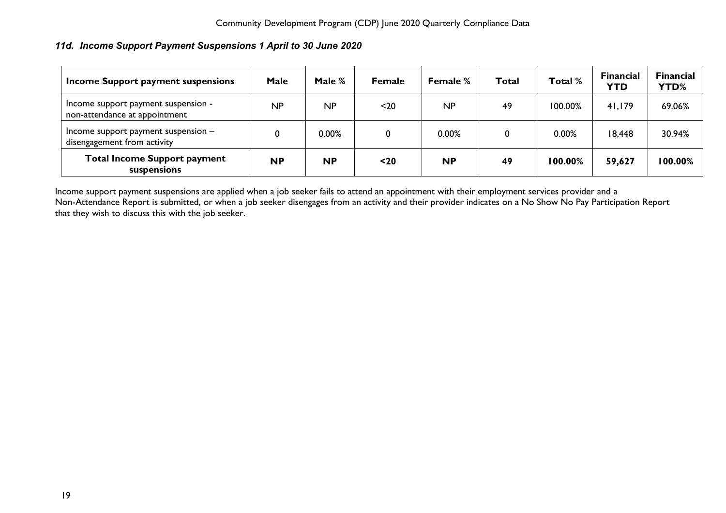## <span id="page-19-0"></span>*11d. Income Support Payment Suspensions 1 April to 30 June 2020*

| Income Support payment suspensions                                   | Male      | Male $%$  | <b>Female</b> | <b>Female %</b> | Total | Total % | <b>Financial</b><br><b>YTD</b> | <b>Financial</b><br>YTD% |
|----------------------------------------------------------------------|-----------|-----------|---------------|-----------------|-------|---------|--------------------------------|--------------------------|
| Income support payment suspension -<br>non-attendance at appointment | NP        | NP        | $20$          | NP              | 49    | 100.00% | 41,179                         | 69.06%                   |
| Income support payment suspension $-$<br>disengagement from activity |           | 0.00%     | 0             | 0.00%           |       | 0.00%   | 18,448                         | 30.94%                   |
| <b>Total Income Support payment</b><br>suspensions                   | <b>NP</b> | <b>NP</b> | $20$          | <b>NP</b>       | 49    | 100.00% | 59,627                         | 100.00%                  |

Income support payment suspensions are applied when a job seeker fails to attend an appointment with their employment services provider and a Non-Attendance Report is submitted, or when a job seeker disengages from an activity and their provider indicates on a No Show No Pay Participation Report that they wish to discuss this with the job seeker.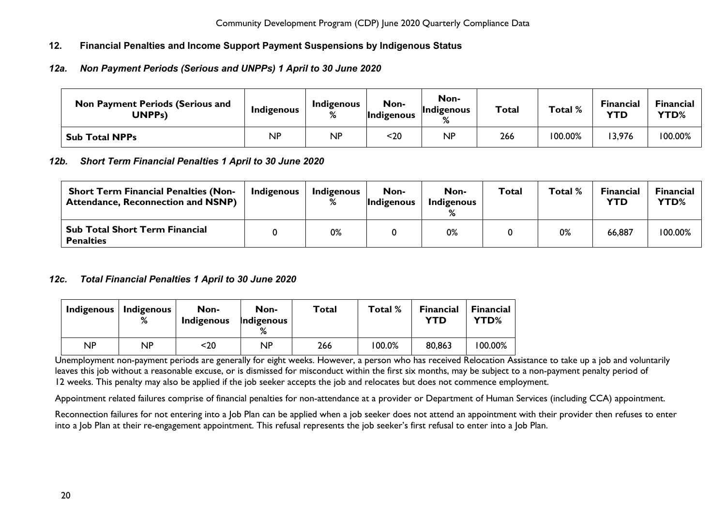## <span id="page-20-0"></span>**12. Financial Penalties and Income Support Payment Suspensions by Indigenous Status**

## <span id="page-20-1"></span>*12a. Non Payment Periods (Serious and UNPPs) 1 April to 30 June 2020*

| <b>Non Payment Periods (Serious and</b><br>UNPPs) | Indigenous | Indigenous<br>% | Non-<br>Indigenous | Non-<br>Indigenous<br>$\mathbf{O}/$ | <b>Total</b> | Total % | <b>Financial</b><br>YTD | Financial<br>YTD% |
|---------------------------------------------------|------------|-----------------|--------------------|-------------------------------------|--------------|---------|-------------------------|-------------------|
| <b>Sub Total NPPs</b>                             | ΝP         | <b>NP</b>       | <20                | <b>NP</b>                           | 266          | 100.00% | 3,976                   | 100.00%           |

## <span id="page-20-2"></span>*12b. Short Term Financial Penalties 1 April to 30 June 2020*

| <b>Short Term Financial Penalties (Non-</b><br><b>Attendance, Reconnection and NSNP)</b> | Indigenous | Indigenous | Non-<br><b>Indigenous</b> | Non-<br>Indigenous | <b>Total</b> | Total % | <b>Financial</b><br>YTD | Financial<br>YTD% |
|------------------------------------------------------------------------------------------|------------|------------|---------------------------|--------------------|--------------|---------|-------------------------|-------------------|
| <b>Sub Total Short Term Financial</b><br><b>Penalties</b>                                |            | 0%         |                           | 0%                 |              | 0%      | 66,887                  | 100.00%           |

## <span id="page-20-3"></span>*12c. Total Financial Penalties 1 April to 30 June 2020*

| Indigenous | <b>Indigenous</b><br>% | Non-<br>Indigenous | Non-<br>Indigenous | Total | Total % | <b>Financial</b><br>YTD | <b>Financial</b><br>YTD% |
|------------|------------------------|--------------------|--------------------|-------|---------|-------------------------|--------------------------|
| ΝP         | NP                     | <20                | NP                 | 266   | 100.0%  | 80,863                  | 100.00%                  |

Unemployment non-payment periods are generally for eight weeks. However, a person who has received Relocation Assistance to take up a job and voluntarily leaves this job without a reasonable excuse, or is dismissed for misconduct within the first six months, may be subject to a non-payment penalty period of 12 weeks. This penalty may also be applied if the job seeker accepts the job and relocates but does not commence employment.

Appointment related failures comprise of financial penalties for non-attendance at a provider or Department of Human Services (including CCA) appointment.

Reconnection failures for not entering into a lob Plan can be applied when a job seeker does not attend an appointment with their provider then refuses to enter into a Job Plan at their re-engagement appointment. This refusal represents the job seeker's first refusal to enter into a Job Plan.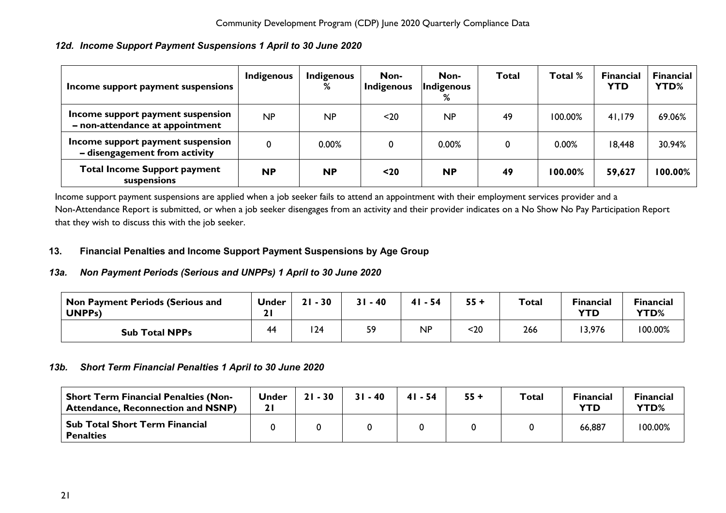## <span id="page-21-0"></span>*12d. Income Support Payment Suspensions 1 April to 30 June 2020*

| Income support payment suspensions                                   | Indigenous  | Indigenous<br>% | Non-<br>Indigenous | Non-<br>Indigenous<br>% | Total | Total % | <b>Financial</b><br><b>YTD</b> | <b>Financial</b><br>YTD% |
|----------------------------------------------------------------------|-------------|-----------------|--------------------|-------------------------|-------|---------|--------------------------------|--------------------------|
| Income support payment suspension<br>- non-attendance at appointment | NP          | NP              | $20$               | NP                      | 49    | 100.00% | 41,179                         | 69.06%                   |
| Income support payment suspension<br>- disengagement from activity   | $\mathbf 0$ | 0.00%           | 0                  | 0.00%                   |       | 0.00%   | 18,448                         | 30.94%                   |
| <b>Total Income Support payment</b><br>suspensions                   | <b>NP</b>   | <b>NP</b>       | $20$               | <b>NP</b>               | 49    | 100.00% | 59,627                         | 100.00%                  |

Income support payment suspensions are applied when a job seeker fails to attend an appointment with their employment services provider and a Non-Attendance Report is submitted, or when a job seeker disengages from an activity and their provider indicates on a No Show No Pay Participation Report that they wish to discuss this with the job seeker.

## <span id="page-21-1"></span>**13. Financial Penalties and Income Support Payment Suspensions by Age Group**

## <span id="page-21-2"></span>*13a. Non Payment Periods (Serious and UNPPs) 1 April to 30 June 2020*

| <b>Non Payment Periods (Serious and</b><br>UNPP <sub>S</sub> ) | <b>Under</b> | $-30$<br>21 | $31 - 40$ | $41 - 54$ | $55 +$ | Total | <b>Financial</b><br>YTD | <b>Financial</b><br>YTD% |
|----------------------------------------------------------------|--------------|-------------|-----------|-----------|--------|-------|-------------------------|--------------------------|
| <b>Sub Total NPPs</b>                                          | 44           | 124         | 59        | <b>NP</b> | $20$   | 266   | 3,976                   | 100.00%                  |

## <span id="page-21-3"></span>*13b. Short Term Financial Penalties 1 April to 30 June 2020*

<span id="page-21-4"></span>

| <b>Short Term Financial Penalties (Non-</b><br><b>Attendance, Reconnection and NSNP)</b> | Under | $21 - 30$ | $31 - 40$ | $41 - 54$ | $55 +$ | <b>Total</b> | <b>Financial</b><br>YTD | <b>Financial</b><br>YTD% |
|------------------------------------------------------------------------------------------|-------|-----------|-----------|-----------|--------|--------------|-------------------------|--------------------------|
| Sub Total Short Term Financial<br><b>Penalties</b>                                       |       |           |           |           |        |              | 66,887                  | 100.00%                  |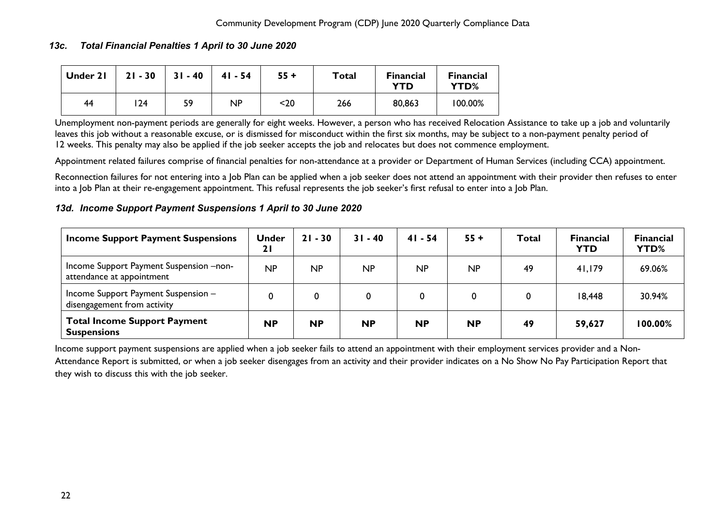## *13c. Total Financial Penalties 1 April to 30 June 2020*

| Under 21 | $21 - 30$ | $31 - 40$ | $41 - 54$ | $55 +$ | Total | <b>Financial</b><br>YTD | <b>Financial</b><br>YTD% |
|----------|-----------|-----------|-----------|--------|-------|-------------------------|--------------------------|
| 44       | 24        | 59        | <b>NP</b> | $20$   | 266   | 80,863                  | 100.00%                  |

Unemployment non-payment periods are generally for eight weeks. However, a person who has received Relocation Assistance to take up a job and voluntarily leaves this job without a reasonable excuse, or is dismissed for misconduct within the first six months, may be subject to a non-payment penalty period of 12 weeks. This penalty may also be applied if the job seeker accepts the job and relocates but does not commence employment.

Appointment related failures comprise of financial penalties for non-attendance at a provider or Department of Human Services (including CCA) appointment.

Reconnection failures for not entering into a Job Plan can be applied when a job seeker does not attend an appointment with their provider then refuses to enter into a Job Plan at their re-engagement appointment. This refusal represents the job seeker's first refusal to enter into a Job Plan.

#### <span id="page-22-0"></span>*13d. Income Support Payment Suspensions 1 April to 30 June 2020*

| <b>Income Support Payment Suspensions</b>                            | <b>Under</b><br>21 | $21 - 30$ | $31 - 40$ | $41 - 54$ | $55 +$    | Total | <b>Financial</b><br><b>YTD</b> | <b>Financial</b><br>YTD% |
|----------------------------------------------------------------------|--------------------|-----------|-----------|-----------|-----------|-------|--------------------------------|--------------------------|
| Income Support Payment Suspension -non-<br>attendance at appointment | NP                 | NP        | NP        | NP        | <b>NP</b> | -49   | 41,179                         | 69.06%                   |
| Income Support Payment Suspension -<br>disengagement from activity   |                    |           |           |           | 0         |       | 18,448                         | 30.94%                   |
| <b>Total Income Support Payment</b><br><b>Suspensions</b>            | <b>NP</b>          | <b>NP</b> | <b>NP</b> | <b>NP</b> | <b>NP</b> | 49    | 59,627                         | 100.00%                  |

Income support payment suspensions are applied when a job seeker fails to attend an appointment with their employment services provider and a Non-Attendance Report is submitted, or when a job seeker disengages from an activity and their provider indicates on a No Show No Pay Participation Report that they wish to discuss this with the job seeker.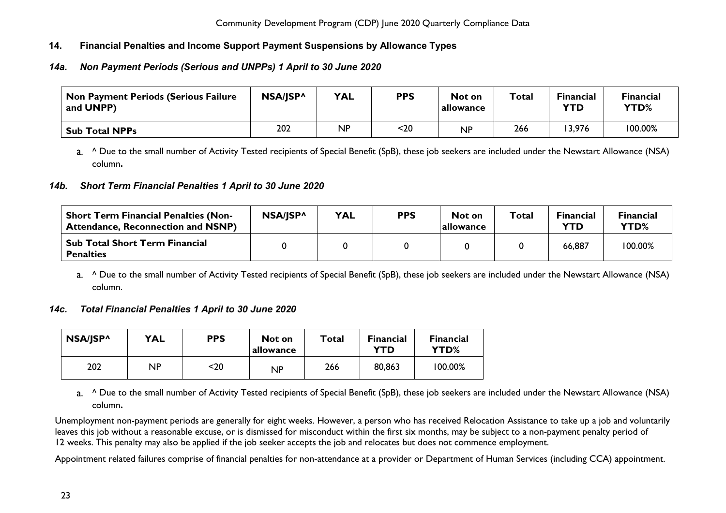## <span id="page-23-0"></span>**14. Financial Penalties and Income Support Payment Suspensions by Allowance Types**

## <span id="page-23-1"></span>*14a. Non Payment Periods (Serious and UNPPs) 1 April to 30 June 2020*

| <b>Non Payment Periods (Serious Failure</b><br>and UNPP) | NSA/JSP^ | <b>YAL</b> | <b>PPS</b> | Not on<br>allowance | Total | <b>Financial</b><br>YTD | <b>Financial</b><br>YTD% |
|----------------------------------------------------------|----------|------------|------------|---------------------|-------|-------------------------|--------------------------|
| <b>Sub Total NPPs</b>                                    | 202      | NP         | <20        | <b>NP</b>           | 266   | 13,976                  | 100.00%                  |

a. <sup>^</sup> Due to the small number of Activity Tested recipients of Special Benefit (SpB), these job seekers are included under the Newstart Allowance (NSA) column**.**

## <span id="page-23-2"></span>*14b. Short Term Financial Penalties 1 April to 30 June 2020*

| <b>Short Term Financial Penalties (Non-</b><br><b>Attendance, Reconnection and NSNP)</b> | NSA/JSP^ | <b>YAL</b> | <b>PPS</b> | Not on<br>allowance | Total | <b>Financial</b><br>YTD | <b>Financial</b><br>YTD% |
|------------------------------------------------------------------------------------------|----------|------------|------------|---------------------|-------|-------------------------|--------------------------|
| <b>Sub Total Short Term Financial</b><br><b>Penalties</b>                                |          |            |            |                     |       | 66,887                  | 100.00%                  |

a. <sup>^</sup> Due to the small number of Activity Tested recipients of Special Benefit (SpB), these job seekers are included under the Newstart Allowance (NSA) column.

## <span id="page-23-3"></span>*14c. Total Financial Penalties 1 April to 30 June 2020*

| NSA/JSP^ | <b>YAL</b> | <b>PPS</b> | Not on<br>allowance | Total | <b>Financial</b><br>YTD | <b>Financial</b><br>YTD% |
|----------|------------|------------|---------------------|-------|-------------------------|--------------------------|
| 202      | ΝP         | $20$       | <b>NP</b>           | 266   | 80,863                  | 100.00%                  |

a. <sup>^</sup> Due to the small number of Activity Tested recipients of Special Benefit (SpB), these job seekers are included under the Newstart Allowance (NSA) column**.**

Unemployment non-payment periods are generally for eight weeks. However, a person who has received Relocation Assistance to take up a job and voluntarily leaves this job without a reasonable excuse, or is dismissed for misconduct within the first six months, may be subject to a non-payment penalty period of 12 weeks. This penalty may also be applied if the job seeker accepts the job and relocates but does not commence employment.

Appointment related failures comprise of financial penalties for non-attendance at a provider or Department of Human Services (including CCA) appointment.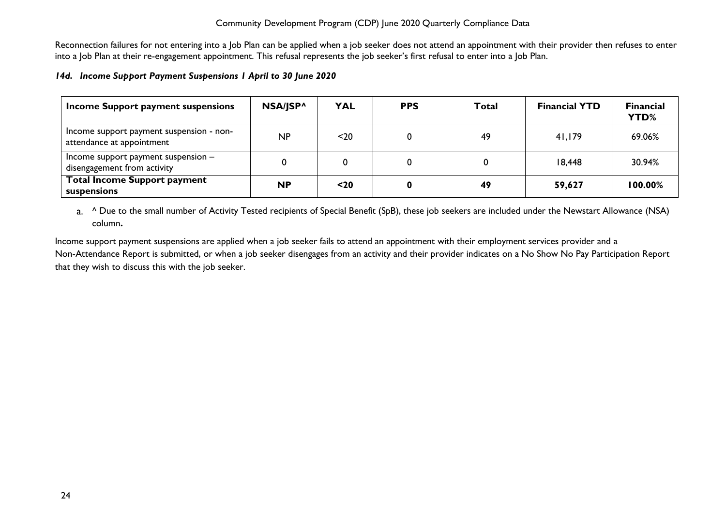Reconnection failures for not entering into a Job Plan can be applied when a job seeker does not attend an appointment with their provider then refuses to enter into a Job Plan at their re-engagement appointment. This refusal represents the job seeker's first refusal to enter into a Job Plan.

#### <span id="page-24-0"></span>*14d. Income Support Payment Suspensions 1 April to 30 June 2020*

| Income Support payment suspensions                                    | NSA/JSP^  | <b>YAL</b> | <b>PPS</b> | Total | <b>Financial YTD</b> | <b>Financial</b><br>YTD% |
|-----------------------------------------------------------------------|-----------|------------|------------|-------|----------------------|--------------------------|
| Income support payment suspension - non-<br>attendance at appointment | NP        | $20$       | 0          | 49    | 41,179               | 69.06%                   |
| Income support payment suspension $-$<br>disengagement from activity  |           |            | 0          |       | 18,448               | 30.94%                   |
| <b>Total Income Support payment</b><br>suspensions                    | <b>NP</b> | $20$       | 0          | 49    | 59,627               | 100.00%                  |

a. <sup>^</sup> Due to the small number of Activity Tested recipients of Special Benefit (SpB), these job seekers are included under the Newstart Allowance (NSA) column**.**

Income support payment suspensions are applied when a job seeker fails to attend an appointment with their employment services provider and a Non-Attendance Report is submitted, or when a job seeker disengages from an activity and their provider indicates on a No Show No Pay Participation Report that they wish to discuss this with the job seeker.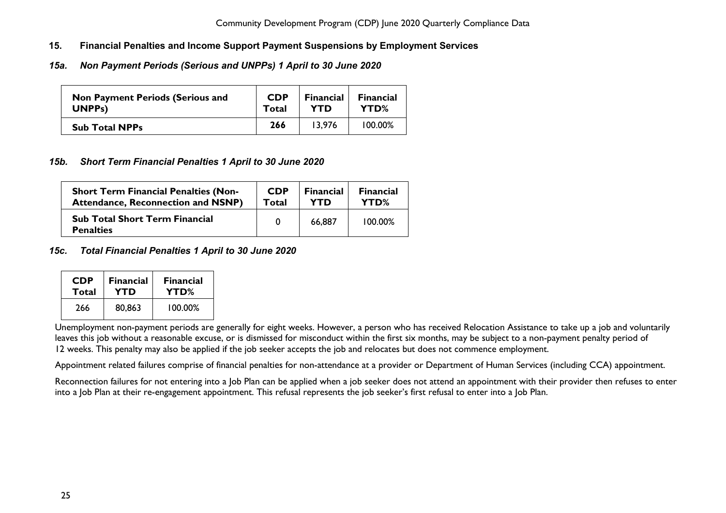- <span id="page-25-0"></span>**15. Financial Penalties and Income Support Payment Suspensions by Employment Services**
- <span id="page-25-1"></span>*15a. Non Payment Periods (Serious and UNPPs) 1 April to 30 June 2020*

| <b>Non Payment Periods (Serious and</b> | <b>CDP</b> | <b>Financial</b> | <b>Financial</b> |
|-----------------------------------------|------------|------------------|------------------|
| UNPP <sub>s</sub> )                     | Total      | <b>YTD</b>       | YTD%             |
| <b>Sub Total NPPs</b>                   | 266        | 13.976           | 100.00%          |

## <span id="page-25-2"></span>*15b. Short Term Financial Penalties 1 April to 30 June 2020*

| <b>Short Term Financial Penalties (Non-</b>               | <b>CDP</b> | <b>Financial</b> | <b>Financial</b> |
|-----------------------------------------------------------|------------|------------------|------------------|
| <b>Attendance, Reconnection and NSNP)</b>                 | Total      | YTD              | YTD%             |
| <b>Sub Total Short Term Financial</b><br><b>Penalties</b> | 0          | 66,887           | 100.00%          |

## <span id="page-25-3"></span>*15c. Total Financial Penalties 1 April to 30 June 2020*

| <b>CDP</b> | <b>Financial</b> | <b>Financial</b> |
|------------|------------------|------------------|
| Total      | YTD              | YTD%             |
| 266        | 80,863           | 100.00%          |

Unemployment non-payment periods are generally for eight weeks. However, a person who has received Relocation Assistance to take up a job and voluntarily leaves this job without a reasonable excuse, or is dismissed for misconduct within the first six months, may be subject to a non-payment penalty period of 12 weeks. This penalty may also be applied if the job seeker accepts the job and relocates but does not commence employment.

Appointment related failures comprise of financial penalties for non-attendance at a provider or Department of Human Services (including CCA) appointment.

Reconnection failures for not entering into a Job Plan can be applied when a job seeker does not attend an appointment with their provider then refuses to enter into a Job Plan at their re-engagement appointment. This refusal represents the job seeker's first refusal to enter into a Job Plan.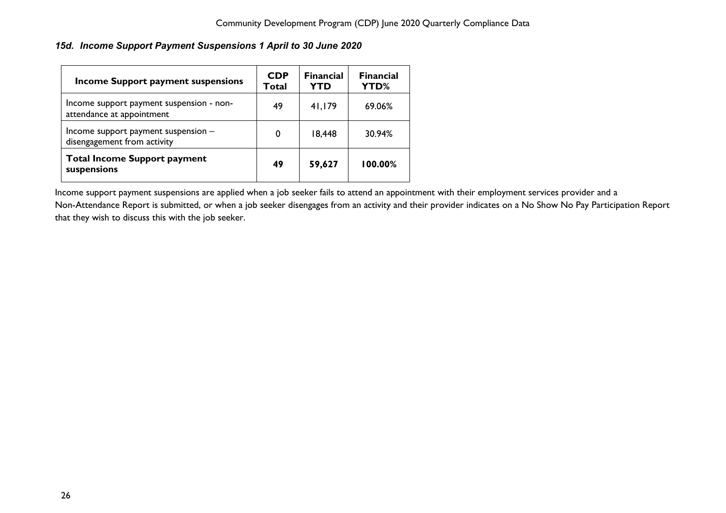<span id="page-26-0"></span>*15d. Income Support Payment Suspensions 1 April to 30 June 2020*

| <b>Income Support payment suspensions</b>                             | <b>CDP</b><br>Total | <b>Financial</b><br><b>YTD</b> | <b>Financial</b><br><b>YTD%</b> |
|-----------------------------------------------------------------------|---------------------|--------------------------------|---------------------------------|
| Income support payment suspension - non-<br>attendance at appointment | 49                  | 41,179                         | 69.06%                          |
| Income support payment suspension -<br>disengagement from activity    | 0                   | 18,448                         | 30.94%                          |
| <b>Total Income Support payment</b><br>suspensions                    | 49                  | 59,627                         | 100.00%                         |

Income support payment suspensions are applied when a job seeker fails to attend an appointment with their employment services provider and a Non-Attendance Report is submitted, or when a job seeker disengages from an activity and their provider indicates on a No Show No Pay Participation Report that they wish to discuss this with the job seeker.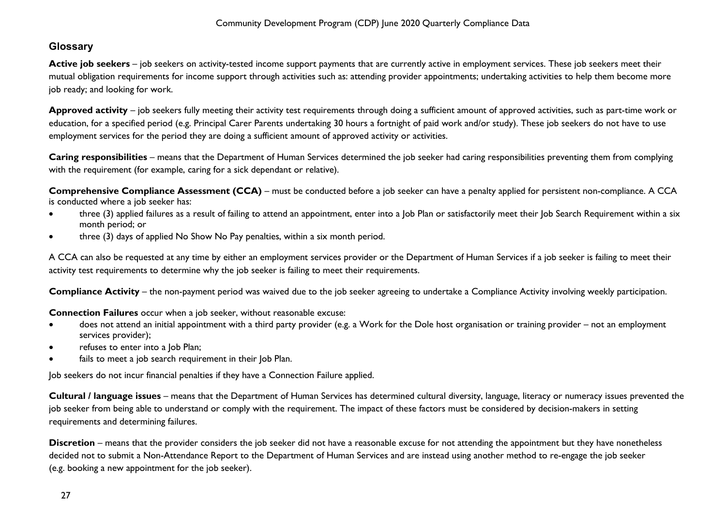## <span id="page-27-0"></span>**Glossary**

Active job seekers – job seekers on activity-tested income support payments that are currently active in employment services. These job seekers meet their mutual obligation requirements for income support through activities such as: attending provider appointments; undertaking activities to help them become more job ready; and looking for work.

**Approved activity** – job seekers fully meeting their activity test requirements through doing a sufficient amount of approved activities, such as part-time work or education, for a specified period (e.g. Principal Carer Parents undertaking 30 hours a fortnight of paid work and/or study). These job seekers do not have to use employment services for the period they are doing a sufficient amount of approved activity or activities.

**Caring responsibilities** – means that the Department of Human Services determined the job seeker had caring responsibilities preventing them from complying with the requirement (for example, caring for a sick dependant or relative).

**Comprehensive Compliance Assessment (CCA)** – must be conducted before a job seeker can have a penalty applied for persistent non-compliance. A CCA is conducted where a job seeker has:

- three (3) applied failures as a result of failing to attend an appointment, enter into a Job Plan or satisfactorily meet their Job Search Requirement within a six month period; or
- three (3) days of applied No Show No Pay penalties, within a six month period.

A CCA can also be requested at any time by either an employment services provider or the Department of Human Services if a job seeker is failing to meet their activity test requirements to determine why the job seeker is failing to meet their requirements.

**Compliance Activity** – the non-payment period was waived due to the job seeker agreeing to undertake a Compliance Activity involving weekly participation.

**Connection Failures** occur when a job seeker, without reasonable excuse:

- does not attend an initial appointment with a third party provider (e.g. a Work for the Dole host organisation or training provider not an employment services provider);
- refuses to enter into a Job Plan;
- fails to meet a job search requirement in their Job Plan.

Job seekers do not incur financial penalties if they have a Connection Failure applied.

**Cultural / language issues** – means that the Department of Human Services has determined cultural diversity, language, literacy or numeracy issues prevented the job seeker from being able to understand or comply with the requirement. The impact of these factors must be considered by decision-makers in setting requirements and determining failures.

**Discretion** – means that the provider considers the job seeker did not have a reasonable excuse for not attending the appointment but they have nonetheless decided not to submit a Non-Attendance Report to the Department of Human Services and are instead using another method to re-engage the job seeker (e.g. booking a new appointment for the job seeker).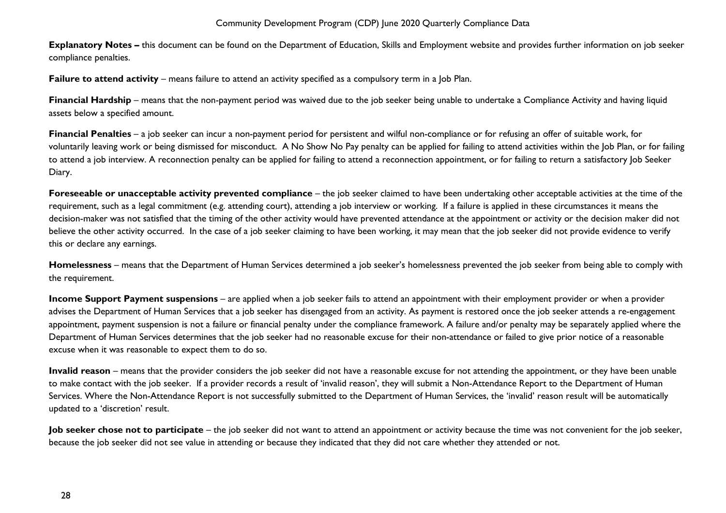**Explanatory Notes –** this document can be found on the Department of Education, Skills and Employment website and provides further information on job seeker compliance penalties.

**Failure to attend activity** – means failure to attend an activity specified as a compulsory term in a Job Plan.

**Financial Hardship** – means that the non-payment period was waived due to the job seeker being unable to undertake a Compliance Activity and having liquid assets below a specified amount.

**Financial Penalties** – a job seeker can incur a non-payment period for persistent and wilful non-compliance or for refusing an offer of suitable work, for voluntarily leaving work or being dismissed for misconduct. A No Show No Pay penalty can be applied for failing to attend activities within the Job Plan, or for failing to attend a job interview. A reconnection penalty can be applied for failing to attend a reconnection appointment, or for failing to return a satisfactory Job Seeker Diary.

**Foreseeable or unacceptable activity prevented compliance** – the job seeker claimed to have been undertaking other acceptable activities at the time of the requirement, such as a legal commitment (e.g. attending court), attending a job interview or working. If a failure is applied in these circumstances it means the decision-maker was not satisfied that the timing of the other activity would have prevented attendance at the appointment or activity or the decision maker did not believe the other activity occurred. In the case of a job seeker claiming to have been working, it may mean that the job seeker did not provide evidence to verify this or declare any earnings.

**Homelessness** – means that the Department of Human Services determined a job seeker's homelessness prevented the job seeker from being able to comply with the requirement.

**Income Support Payment suspensions** – are applied when a job seeker fails to attend an appointment with their employment provider or when a provider advises the Department of Human Services that a job seeker has disengaged from an activity. As payment is restored once the job seeker attends a re-engagement appointment, payment suspension is not a failure or financial penalty under the compliance framework. A failure and/or penalty may be separately applied where the Department of Human Services determines that the job seeker had no reasonable excuse for their non-attendance or failed to give prior notice of a reasonable excuse when it was reasonable to expect them to do so.

**Invalid reason** – means that the provider considers the job seeker did not have a reasonable excuse for not attending the appointment, or they have been unable to make contact with the job seeker. If a provider records a result of 'invalid reason', they will submit a Non-Attendance Report to the Department of Human Services. Where the Non-Attendance Report is not successfully submitted to the Department of Human Services, the 'invalid' reason result will be automatically updated to a 'discretion' result.

**Job seeker chose not to participate** – the job seeker did not want to attend an appointment or activity because the time was not convenient for the job seeker, because the job seeker did not see value in attending or because they indicated that they did not care whether they attended or not.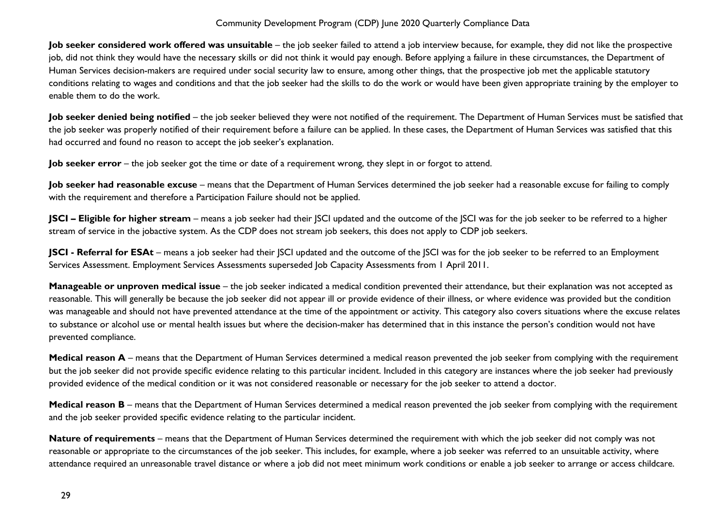**Job seeker considered work offered was unsuitable** – the job seeker failed to attend a job interview because, for example, they did not like the prospective job, did not think they would have the necessary skills or did not think it would pay enough. Before applying a failure in these circumstances, the Department of Human Services decision-makers are required under social security law to ensure, among other things, that the prospective job met the applicable statutory conditions relating to wages and conditions and that the job seeker had the skills to do the work or would have been given appropriate training by the employer to enable them to do the work.

**Job seeker denied being notified** – the job seeker believed they were not notified of the requirement. The Department of Human Services must be satisfied that the job seeker was properly notified of their requirement before a failure can be applied. In these cases, the Department of Human Services was satisfied that this had occurred and found no reason to accept the job seeker's explanation.

**Job seeker error** – the job seeker got the time or date of a requirement wrong, they slept in or forgot to attend.

Job seeker had reasonable excuse - means that the Department of Human Services determined the job seeker had a reasonable excuse for failing to comply with the requirement and therefore a Participation Failure should not be applied.

**JSCI – Eligible for higher stream** – means a job seeker had their JSCI updated and the outcome of the JSCI was for the job seeker to be referred to a higher stream of service in the jobactive system. As the CDP does not stream job seekers, this does not apply to CDP job seekers.

**JSCI - Referral for ESAt** – means a job seeker had their JSCI updated and the outcome of the JSCI was for the job seeker to be referred to an Employment Services Assessment. Employment Services Assessments superseded Job Capacity Assessments from 1 April 2011.

**Manageable or unproven medical issue** – the job seeker indicated a medical condition prevented their attendance, but their explanation was not accepted as reasonable. This will generally be because the job seeker did not appear ill or provide evidence of their illness, or where evidence was provided but the condition was manageable and should not have prevented attendance at the time of the appointment or activity. This category also covers situations where the excuse relates to substance or alcohol use or mental health issues but where the decision-maker has determined that in this instance the person's condition would not have prevented compliance.

**Medical reason A** – means that the Department of Human Services determined a medical reason prevented the job seeker from complying with the requirement but the job seeker did not provide specific evidence relating to this particular incident. Included in this category are instances where the job seeker had previously provided evidence of the medical condition or it was not considered reasonable or necessary for the job seeker to attend a doctor.

**Medical reason B** – means that the Department of Human Services determined a medical reason prevented the job seeker from complying with the requirement and the job seeker provided specific evidence relating to the particular incident.

**Nature of requirements** – means that the Department of Human Services determined the requirement with which the job seeker did not comply was not reasonable or appropriate to the circumstances of the job seeker. This includes, for example, where a job seeker was referred to an unsuitable activity, where attendance required an unreasonable travel distance or where a job did not meet minimum work conditions or enable a job seeker to arrange or access childcare.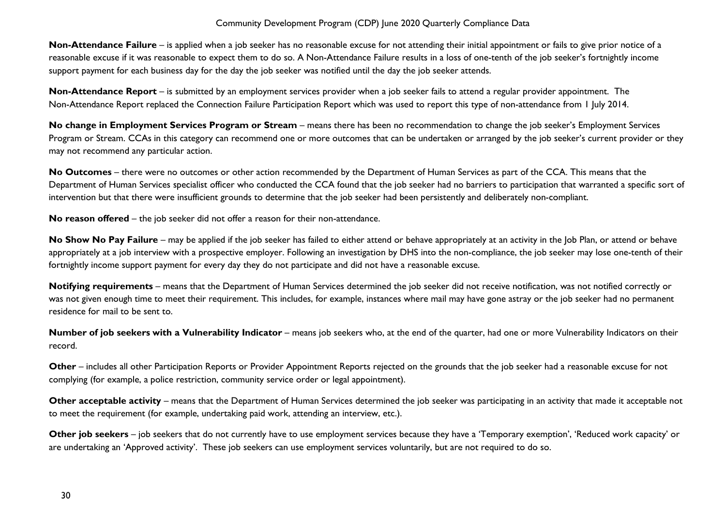**Non-Attendance Failure** – is applied when a job seeker has no reasonable excuse for not attending their initial appointment or fails to give prior notice of a reasonable excuse if it was reasonable to expect them to do so. A Non-Attendance Failure results in a loss of one-tenth of the job seeker's fortnightly income support payment for each business day for the day the job seeker was notified until the day the job seeker attends.

**Non-Attendance Report** – is submitted by an employment services provider when a job seeker fails to attend a regular provider appointment. The Non-Attendance Report replaced the Connection Failure Participation Report which was used to report this type of non-attendance from 1 July 2014.

**No change in Employment Services Program or Stream** – means there has been no recommendation to change the job seeker's Employment Services Program or Stream. CCAs in this category can recommend one or more outcomes that can be undertaken or arranged by the job seeker's current provider or they may not recommend any particular action.

**No Outcomes** – there were no outcomes or other action recommended by the Department of Human Services as part of the CCA. This means that the Department of Human Services specialist officer who conducted the CCA found that the job seeker had no barriers to participation that warranted a specific sort of intervention but that there were insufficient grounds to determine that the job seeker had been persistently and deliberately non-compliant.

**No reason offered** – the job seeker did not offer a reason for their non-attendance.

No Show No Pay Failure – may be applied if the job seeker has failed to either attend or behave appropriately at an activity in the Job Plan, or attend or behave appropriately at a job interview with a prospective employer. Following an investigation by DHS into the non-compliance, the job seeker may lose one-tenth of their fortnightly income support payment for every day they do not participate and did not have a reasonable excuse.

**Notifying requirements** – means that the Department of Human Services determined the job seeker did not receive notification, was not notified correctly or was not given enough time to meet their requirement. This includes, for example, instances where mail may have gone astray or the job seeker had no permanent residence for mail to be sent to.

**Number of job seekers with a Vulnerability Indicator** – means job seekers who, at the end of the quarter, had one or more Vulnerability Indicators on their record.

**Other** – includes all other Participation Reports or Provider Appointment Reports rejected on the grounds that the job seeker had a reasonable excuse for not complying (for example, a police restriction, community service order or legal appointment).

**Other acceptable activity** – means that the Department of Human Services determined the job seeker was participating in an activity that made it acceptable not to meet the requirement (for example, undertaking paid work, attending an interview, etc.).

**Other job seekers** – job seekers that do not currently have to use employment services because they have a 'Temporary exemption', 'Reduced work capacity' or are undertaking an 'Approved activity'. These job seekers can use employment services voluntarily, but are not required to do so.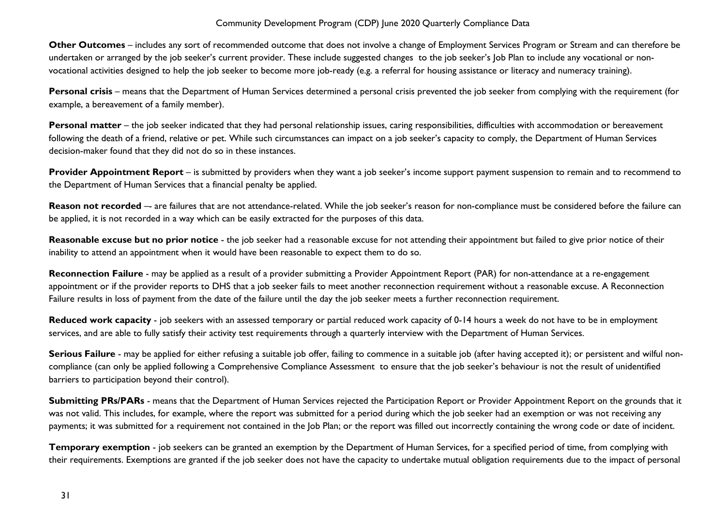**Other Outcomes** – includes any sort of recommended outcome that does not involve a change of Employment Services Program or Stream and can therefore be undertaken or arranged by the job seeker's current provider. These include suggested changes to the job seeker's Job Plan to include any vocational or nonvocational activities designed to help the job seeker to become more job-ready (e.g. a referral for housing assistance or literacy and numeracy training).

**Personal crisis** – means that the Department of Human Services determined a personal crisis prevented the job seeker from complying with the requirement (for example, a bereavement of a family member).

Personal matter – the job seeker indicated that they had personal relationship issues, caring responsibilities, difficulties with accommodation or bereavement following the death of a friend, relative or pet. While such circumstances can impact on a job seeker's capacity to comply, the Department of Human Services decision-maker found that they did not do so in these instances.

**Provider Appointment Report** – is submitted by providers when they want a job seeker's income support payment suspension to remain and to recommend to the Department of Human Services that a financial penalty be applied.

Reason not recorded -- are failures that are not attendance-related. While the job seeker's reason for non-compliance must be considered before the failure can be applied, it is not recorded in a way which can be easily extracted for the purposes of this data.

Reasonable excuse but no prior notice - the job seeker had a reasonable excuse for not attending their appointment but failed to give prior notice of their inability to attend an appointment when it would have been reasonable to expect them to do so.

**Reconnection Failure** - may be applied as a result of a provider submitting a Provider Appointment Report (PAR) for non-attendance at a re-engagement appointment or if the provider reports to DHS that a job seeker fails to meet another reconnection requirement without a reasonable excuse. A Reconnection Failure results in loss of payment from the date of the failure until the day the job seeker meets a further reconnection requirement.

**Reduced work capacity** - job seekers with an assessed temporary or partial reduced work capacity of 0-14 hours a week do not have to be in employment services, and are able to fully satisfy their activity test requirements through a quarterly interview with the Department of Human Services.

**Serious Failure** - may be applied for either refusing a suitable job offer, failing to commence in a suitable job (after having accepted it); or persistent and wilful noncompliance (can only be applied following a Comprehensive Compliance Assessment to ensure that the job seeker's behaviour is not the result of unidentified barriers to participation beyond their control).

**Submitting PRs/PARs** - means that the Department of Human Services rejected the Participation Report or Provider Appointment Report on the grounds that it was not valid. This includes, for example, where the report was submitted for a period during which the job seeker had an exemption or was not receiving any payments; it was submitted for a requirement not contained in the Job Plan; or the report was filled out incorrectly containing the wrong code or date of incident.

**Temporary exemption** - job seekers can be granted an exemption by the Department of Human Services, for a specified period of time, from complying with their requirements. Exemptions are granted if the job seeker does not have the capacity to undertake mutual obligation requirements due to the impact of personal